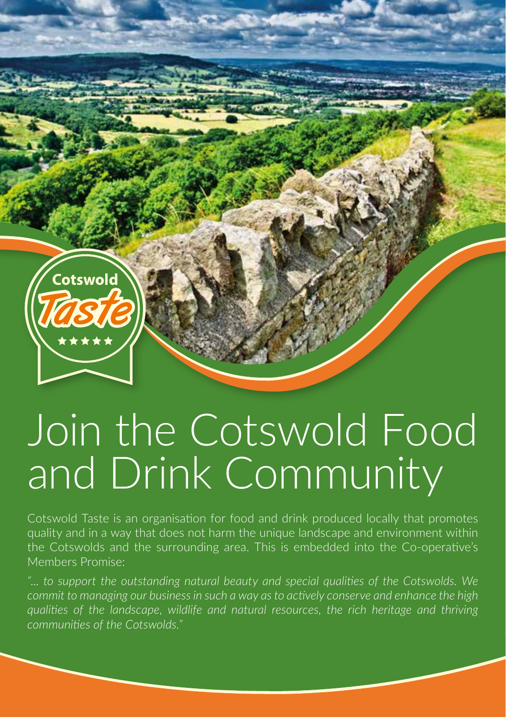

## Join the Cotswold Food and Drink Community

Cotswold Taste is an organisation for food and drink produced locally that promotes quality and in a way that does not harm the unique landscape and environment within the Cotswolds and the surrounding area. This is embedded into the Co-operative's Members Promise:

*"... to support the outstanding natural beauty and special qualities of the Cotswolds. We commit to managing our business in such a way as to actively conserve and enhance the high qualities of the landscape, wildlife and natural resources, the rich heritage and thriving communities of the Cotswolds."*